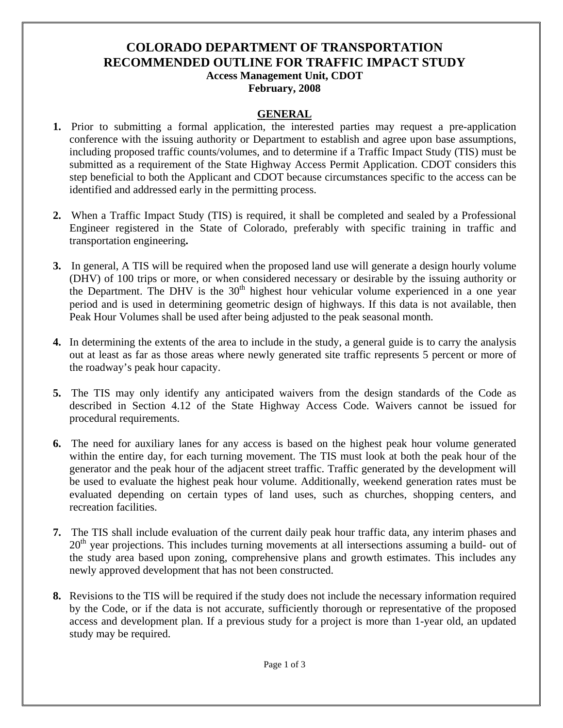### **COLORADO DEPARTMENT OF TRANSPORTATION RECOMMENDED OUTLINE FOR TRAFFIC IMPACT STUDY Access Management Unit, CDOT February, 2008**

#### **GENERAL**

- **1.** Prior to submitting a formal application, the interested parties may request a pre-application conference with the issuing authority or Department to establish and agree upon base assumptions, including proposed traffic counts/volumes, and to determine if a Traffic Impact Study (TIS) must be submitted as a requirement of the State Highway Access Permit Application. CDOT considers this step beneficial to both the Applicant and CDOT because circumstances specific to the access can be identified and addressed early in the permitting process.
- **2.** When a Traffic Impact Study (TIS) is required, it shall be completed and sealed by a Professional Engineer registered in the State of Colorado, preferably with specific training in traffic and transportation engineering**.**
- **3.** In general, A TIS will be required when the proposed land use will generate a design hourly volume (DHV) of 100 trips or more, or when considered necessary or desirable by the issuing authority or the Department. The DHV is the  $30<sup>th</sup>$  highest hour vehicular volume experienced in a one year period and is used in determining geometric design of highways. If this data is not available, then Peak Hour Volumes shall be used after being adjusted to the peak seasonal month.
- **4.** In determining the extents of the area to include in the study, a general guide is to carry the analysis out at least as far as those areas where newly generated site traffic represents 5 percent or more of the roadway's peak hour capacity.
- **5.** The TIS may only identify any anticipated waivers from the design standards of the Code as described in Section 4.12 of the State Highway Access Code. Waivers cannot be issued for procedural requirements.
- **6.** The need for auxiliary lanes for any access is based on the highest peak hour volume generated within the entire day, for each turning movement. The TIS must look at both the peak hour of the generator and the peak hour of the adjacent street traffic. Traffic generated by the development will be used to evaluate the highest peak hour volume. Additionally, weekend generation rates must be evaluated depending on certain types of land uses, such as churches, shopping centers, and recreation facilities.
- **7.** The TIS shall include evaluation of the current daily peak hour traffic data, any interim phases and  $20<sup>th</sup>$  year projections. This includes turning movements at all intersections assuming a build- out of the study area based upon zoning, comprehensive plans and growth estimates. This includes any newly approved development that has not been constructed.
- **8.** Revisions to the TIS will be required if the study does not include the necessary information required by the Code, or if the data is not accurate, sufficiently thorough or representative of the proposed access and development plan. If a previous study for a project is more than 1-year old, an updated study may be required.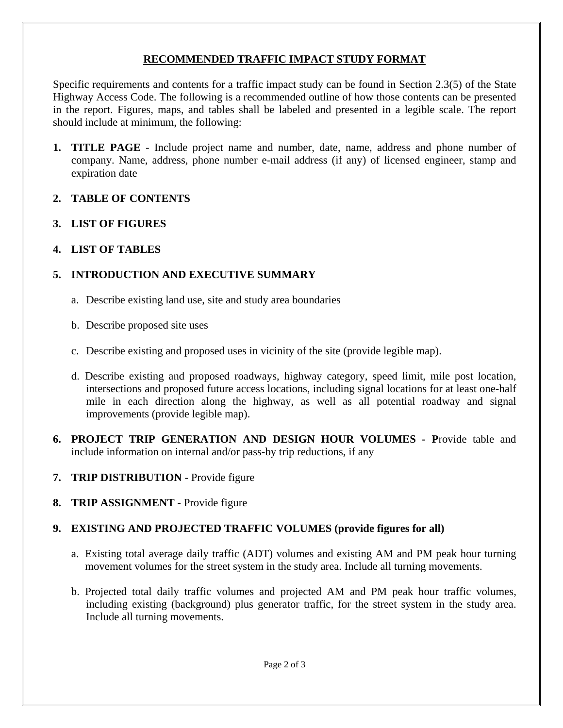## **RECOMMENDED TRAFFIC IMPACT STUDY FORMAT**

Specific requirements and contents for a traffic impact study can be found in Section 2.3(5) of the State Highway Access Code. The following is a recommended outline of how those contents can be presented in the report. Figures, maps, and tables shall be labeled and presented in a legible scale. The report should include at minimum, the following:

**1. TITLE PAGE** - Include project name and number, date, name, address and phone number of company. Name, address, phone number e-mail address (if any) of licensed engineer, stamp and expiration date

## **2. TABLE OF CONTENTS**

**3. LIST OF FIGURES** 

## **4. LIST OF TABLES**

# **5. INTRODUCTION AND EXECUTIVE SUMMARY**

- a. Describe existing land use, site and study area boundaries
- b. Describe proposed site uses
- c. Describe existing and proposed uses in vicinity of the site (provide legible map).
- d. Describe existing and proposed roadways, highway category, speed limit, mile post location, intersections and proposed future access locations, including signal locations for at least one-half mile in each direction along the highway, as well as all potential roadway and signal improvements (provide legible map).
- **6. PROJECT TRIP GENERATION AND DESIGN HOUR VOLUMES P**rovide table and include information on internal and/or pass-by trip reductions, if any
- **7. TRIP DISTRIBUTION** Provide figure
- **8. TRIP ASSIGNMENT** Provide figure

## **9. EXISTING AND PROJECTED TRAFFIC VOLUMES (provide figures for all)**

- a. Existing total average daily traffic (ADT) volumes and existing AM and PM peak hour turning movement volumes for the street system in the study area. Include all turning movements.
- b. Projected total daily traffic volumes and projected AM and PM peak hour traffic volumes, including existing (background) plus generator traffic, for the street system in the study area. Include all turning movements.